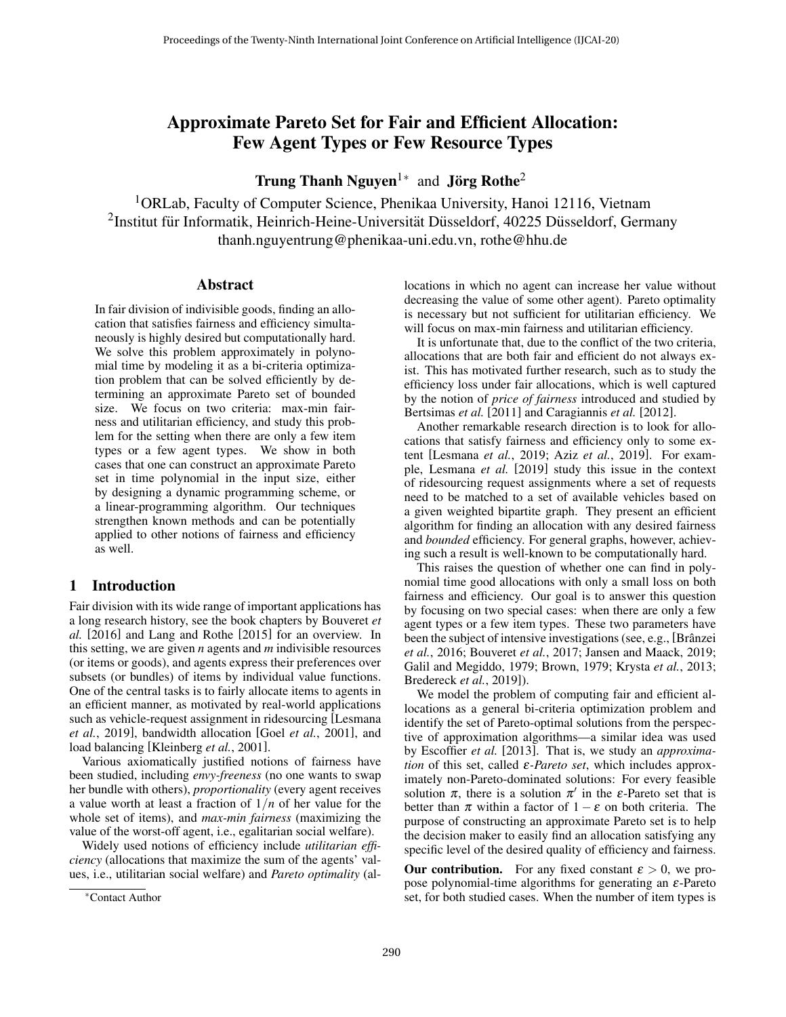# Approximate Pareto Set for Fair and Efficient Allocation: Few Agent Types or Few Resource Types

Trung Thanh Nguyen<sup>1\*</sup> and Jörg Rothe<sup>2</sup>

<sup>1</sup>ORLab, Faculty of Computer Science, Phenikaa University, Hanoi 12116, Vietnam  $^{2}$ Institut für Informatik, Heinrich-Heine-Universität Düsseldorf, 40225 Düsseldorf, Germany thanh.nguyentrung@phenikaa-uni.edu.vn, rothe@hhu.de

#### Abstract

In fair division of indivisible goods, finding an allocation that satisfies fairness and efficiency simultaneously is highly desired but computationally hard. We solve this problem approximately in polynomial time by modeling it as a bi-criteria optimization problem that can be solved efficiently by determining an approximate Pareto set of bounded size. We focus on two criteria: max-min fairness and utilitarian efficiency, and study this problem for the setting when there are only a few item types or a few agent types. We show in both cases that one can construct an approximate Pareto set in time polynomial in the input size, either by designing a dynamic programming scheme, or a linear-programming algorithm. Our techniques strengthen known methods and can be potentially applied to other notions of fairness and efficiency as well.

## 1 Introduction

Fair division with its wide range of important applications has a long research history, see the book chapters by Bouveret *et al.* [\[2016\]](#page-6-0) and Lang and Rothe [\[2015\]](#page-6-1) for an overview. In this setting, we are given *n* agents and *m* indivisible resources (or items or goods), and agents express their preferences over subsets (or bundles) of items by individual value functions. One of the central tasks is to fairly allocate items to agents in an efficient manner, as motivated by real-world applications such as vehicle-request assignment in ridesourcing [\[Lesmana](#page-6-2) *et al.*[, 2019\]](#page-6-2), bandwidth allocation [Goel *et al.*[, 2001\]](#page-6-3), and load balancing [\[Kleinberg](#page-6-4) *et al.*, 2001].

Various axiomatically justified notions of fairness have been studied, including *envy-freeness* (no one wants to swap her bundle with others), *proportionality* (every agent receives a value worth at least a fraction of  $1/n$  of her value for the whole set of items), and *max-min fairness* (maximizing the value of the worst-off agent, i.e., egalitarian social welfare).

Widely used notions of efficiency include *utilitarian efficiency* (allocations that maximize the sum of the agents' values, i.e., utilitarian social welfare) and *Pareto optimality* (allocations in which no agent can increase her value without decreasing the value of some other agent). Pareto optimality is necessary but not sufficient for utilitarian efficiency. We will focus on max-min fairness and utilitarian efficiency.

It is unfortunate that, due to the conflict of the two criteria, allocations that are both fair and efficient do not always exist. This has motivated further research, such as to study the efficiency loss under fair allocations, which is well captured by the notion of *price of fairness* introduced and studied by Bertsimas *et al.* [\[2011\]](#page-6-5) and Caragiannis *et al.* [\[2012\]](#page-6-6).

Another remarkable research direction is to look for allocations that satisfy fairness and efficiency only to some extent [\[Lesmana](#page-6-2) *et al.*, 2019; Aziz *et al.*[, 2019\]](#page-6-7). For example, Lesmana *et al.* [\[2019\]](#page-6-2) study this issue in the context of ridesourcing request assignments where a set of requests need to be matched to a set of available vehicles based on a given weighted bipartite graph. They present an efficient algorithm for finding an allocation with any desired fairness and *bounded* efficiency. For general graphs, however, achieving such a result is well-known to be computationally hard.

This raises the question of whether one can find in polynomial time good allocations with only a small loss on both fairness and efficiency. Our goal is to answer this question by focusing on two special cases: when there are only a few agent types or a few item types. These two parameters have been the subject of intensive investigations (see, e.g., [Brânzei *et al.*[, 2016;](#page-6-8) [Bouveret](#page-6-9) *et al.*, 2017; [Jansen and Maack, 2019;](#page-6-10) [Galil and Megiddo, 1979;](#page-6-11) [Brown, 1979;](#page-6-12) [Krysta](#page-6-13) *et al.*, 2013; [Bredereck](#page-6-14) *et al.*, 2019]).

We model the problem of computing fair and efficient allocations as a general bi-criteria optimization problem and identify the set of Pareto-optimal solutions from the perspective of approximation algorithms—a similar idea was used by Escoffier *et al.* [\[2013\]](#page-6-15). That is, we study an *approximation* of this set, called *ε-Pareto set*, which includes approximately non-Pareto-dominated solutions: For every feasible solution  $\pi$ , there is a solution  $\pi'$  in the  $\varepsilon$ -Pareto set that is better than  $\pi$  within a factor of  $1 - \varepsilon$  on both criteria. The purpose of constructing an approximate Pareto set is to help the decision maker to easily find an allocation satisfying any specific level of the desired quality of efficiency and fairness.

**Our contribution.** For any fixed constant  $\varepsilon > 0$ , we propose polynomial-time algorithms for generating an  $\varepsilon$ -Pareto set, for both studied cases. When the number of item types is

<sup>∗</sup>Contact Author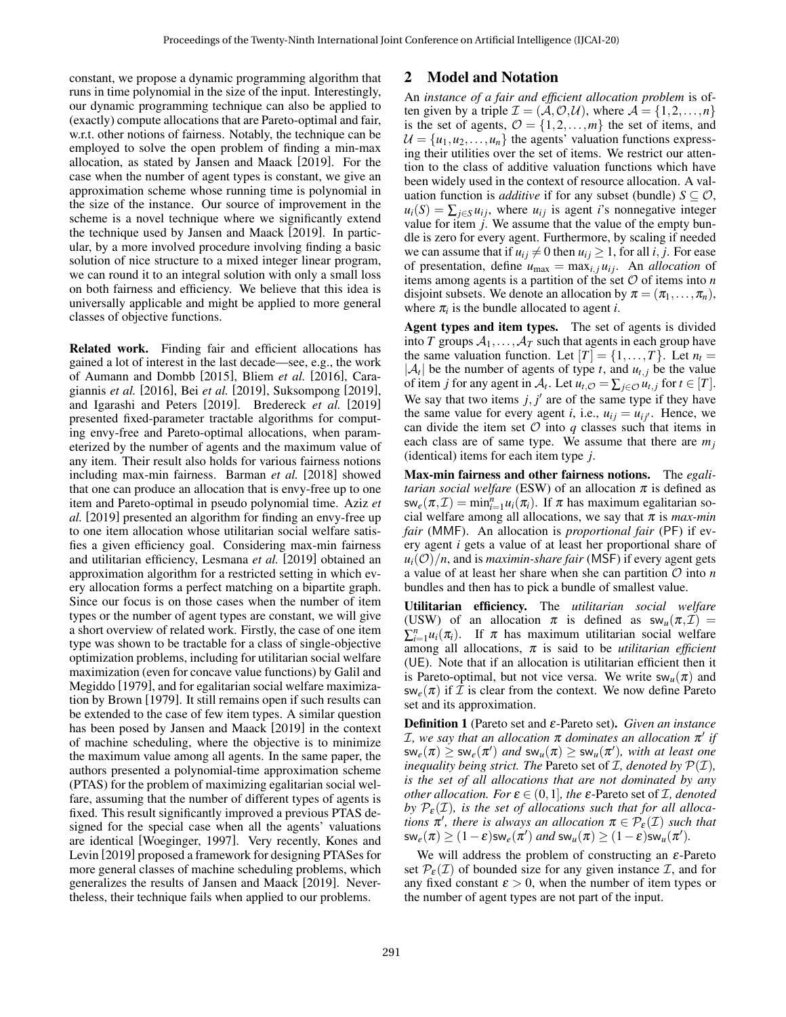constant, we propose a dynamic programming algorithm that runs in time polynomial in the size of the input. Interestingly, our dynamic programming technique can also be applied to (exactly) compute allocations that are Pareto-optimal and fair, w.r.t. other notions of fairness. Notably, the technique can be employed to solve the open problem of finding a min-max allocation, as stated by Jansen and Maack [\[2019\]](#page-6-10). For the case when the number of agent types is constant, we give an approximation scheme whose running time is polynomial in the size of the instance. Our source of improvement in the scheme is a novel technique where we significantly extend the technique used by Jansen and Maack [\[2019\]](#page-6-10). In particular, by a more involved procedure involving finding a basic solution of nice structure to a mixed integer linear program, we can round it to an integral solution with only a small loss on both fairness and efficiency. We believe that this idea is universally applicable and might be applied to more general classes of objective functions.

Related work. Finding fair and efficient allocations has gained a lot of interest in the last decade—see, e.g., the work of Aumann and Dombb [\[2015\]](#page-6-16), Bliem *et al.* [\[2016\]](#page-6-17), Caragiannis *et al.* [\[2016\]](#page-6-18), Bei *et al.* [\[2019\]](#page-6-19), Suksompong [\[2019\]](#page-6-20), and Igarashi and Peters [\[2019\]](#page-6-21). Bredereck *et al.* [\[2019\]](#page-6-14) presented fixed-parameter tractable algorithms for computing envy-free and Pareto-optimal allocations, when parameterized by the number of agents and the maximum value of any item. Their result also holds for various fairness notions including max-min fairness. Barman *et al.* [\[2018\]](#page-6-22) showed that one can produce an allocation that is envy-free up to one item and Pareto-optimal in pseudo polynomial time. Aziz *et al.* [\[2019\]](#page-6-7) presented an algorithm for finding an envy-free up to one item allocation whose utilitarian social welfare satisfies a given efficiency goal. Considering max-min fairness and utilitarian efficiency, Lesmana *et al.* [\[2019\]](#page-6-2) obtained an approximation algorithm for a restricted setting in which every allocation forms a perfect matching on a bipartite graph. Since our focus is on those cases when the number of item types or the number of agent types are constant, we will give a short overview of related work. Firstly, the case of one item type was shown to be tractable for a class of single-objective optimization problems, including for utilitarian social welfare maximization (even for concave value functions) by Galil and Megiddo [\[1979\]](#page-6-11), and for egalitarian social welfare maximization by Brown [\[1979\]](#page-6-12). It still remains open if such results can be extended to the case of few item types. A similar question has been posed by Jansen and Maack [\[2019\]](#page-6-10) in the context of machine scheduling, where the objective is to minimize the maximum value among all agents. In the same paper, the authors presented a polynomial-time approximation scheme (PTAS) for the problem of maximizing egalitarian social welfare, assuming that the number of different types of agents is fixed. This result significantly improved a previous PTAS designed for the special case when all the agents' valuations are identical [\[Woeginger, 1997\]](#page-6-23). Very recently, Kones and Levin [\[2019\]](#page-6-24) proposed a framework for designing PTASes for more general classes of machine scheduling problems, which generalizes the results of Jansen and Maack [\[2019\]](#page-6-10). Nevertheless, their technique fails when applied to our problems.

## 2 Model and Notation

An *instance of a fair and efficient allocation problem* is often given by a triple  $\mathcal{I} = (\mathcal{A}, \mathcal{O}, \mathcal{U})$ , where  $\mathcal{A} = \{1, 2, ..., n\}$ is the set of agents,  $\mathcal{O} = \{1, 2, ..., m\}$  the set of items, and  $U = {u_1, u_2, ..., u_n}$  the agents' valuation functions expressing their utilities over the set of items. We restrict our attention to the class of additive valuation functions which have been widely used in the context of resource allocation. A valuation function is *additive* if for any subset (bundle)  $S \subseteq \mathcal{O}$ ,  $u_i(S) = \sum_{j \in S} u_{ij}$ , where  $u_{ij}$  is agent *i*'s nonnegative integer value for item *j*. We assume that the value of the empty bundle is zero for every agent. Furthermore, by scaling if needed we can assume that if  $u_{ij} \neq 0$  then  $u_{ij} \geq 1$ , for all *i*, *j*. For ease of presentation, define  $u_{\text{max}} = \max_{i,j} u_{ij}$ . An *allocation* of items among agents is a partition of the set  $O$  of items into  $n$ disjoint subsets. We denote an allocation by  $\pi = (\pi_1, \ldots, \pi_n)$ , where  $\pi$ <sub>*i*</sub> is the bundle allocated to agent *i*.

Agent types and item types. The set of agents is divided into *T* groups  $A_1, \ldots, A_T$  such that agents in each group have the same valuation function. Let  $[T] = \{1, \ldots, T\}$ . Let  $n_t =$  $|\mathcal{A}_t|$  be the number of agents of type *t*, and  $u_{t,j}$  be the value of item *j* for any agent in  $A_t$ . Let  $u_{t,O} = \sum_{j \in O} u_{t,j}$  for  $t \in [T]$ . We say that two items  $j, j'$  are of the same type if they have the same value for every agent *i*, i.e.,  $u_{ij} = u_{ij'}$ . Hence, we can divide the item set  $\mathcal O$  into  $q$  classes such that items in each class are of same type. We assume that there are *m<sup>j</sup>* (identical) items for each item type *j*.

Max-min fairness and other fairness notions. The *egalitarian social welfare* (ESW) of an allocation  $\pi$  is defined as  $\mathsf{sw}_e(\pi,\mathcal{I}) = \min_{i=1}^n u_i(\pi_i)$ . If  $\pi$  has maximum egalitarian social welfare among all allocations, we say that  $\pi$  is *max-min fair* (MMF). An allocation is *proportional fair* (PF) if every agent *i* gets a value of at least her proportional share of  $u_i(\mathcal{O})/n$ , and is *maximin-share fair* (MSF) if every agent gets a value of at least her share when she can partition O into *n* bundles and then has to pick a bundle of smallest value.

Utilitarian efficiency. The *utilitarian social welfare* (USW) of an allocation  $\pi$  is defined as  $sw_u(\pi, \mathcal{I})$  =  $\sum_{i=1}^{n} u_i(\pi_i)$ . If  $\pi$  has maximum utilitarian social welfare among all allocations, π is said to be *utilitarian efficient* (UE). Note that if an allocation is utilitarian efficient then it is Pareto-optimal, but not vice versa. We write  $sw_u(\pi)$  and  $\mathsf{sw}_e(\pi)$  if  $\mathcal I$  is clear from the context. We now define Pareto set and its approximation.

Definition 1 (Pareto set and ε-Pareto set). *Given an instance*  $I$ , we say that an allocation  $\pi$  dominates an allocation  $\pi'$  if  $\mathsf{sw}_e(\pi) \geq \mathsf{sw}_e(\pi')$  and  $\mathsf{sw}_u(\pi) \geq \mathsf{sw}_u(\pi')$ , with at least one *inequality being strict. The Pareto set of*  $I$ *, denoted by*  $P(I)$ *, is the set of all allocations that are not dominated by any other allocation. For*  $\varepsilon \in (0,1]$ *, the*  $\varepsilon$ -Pareto set of *I, denoted* by  $\mathcal{P}_{\epsilon}(\mathcal{I})$ , is the set of allocations such that for all alloca*tions*  $\pi'$ , *there is always an allocation*  $\pi \in \mathcal{P}_{\varepsilon}(\mathcal{I})$  *such that*  $\mathsf{sw}_e(\pi) \ge (1-\varepsilon) \mathsf{sw}_e(\pi')$  *and*  $\mathsf{sw}_u(\pi) \ge (1-\varepsilon) \mathsf{sw}_u(\pi').$ 

We will address the problem of constructing an  $\varepsilon$ -Pareto set  $\mathcal{P}_{\varepsilon}(\mathcal{I})$  of bounded size for any given instance  $\mathcal{I}$ , and for any fixed constant  $\varepsilon > 0$ , when the number of item types or the number of agent types are not part of the input.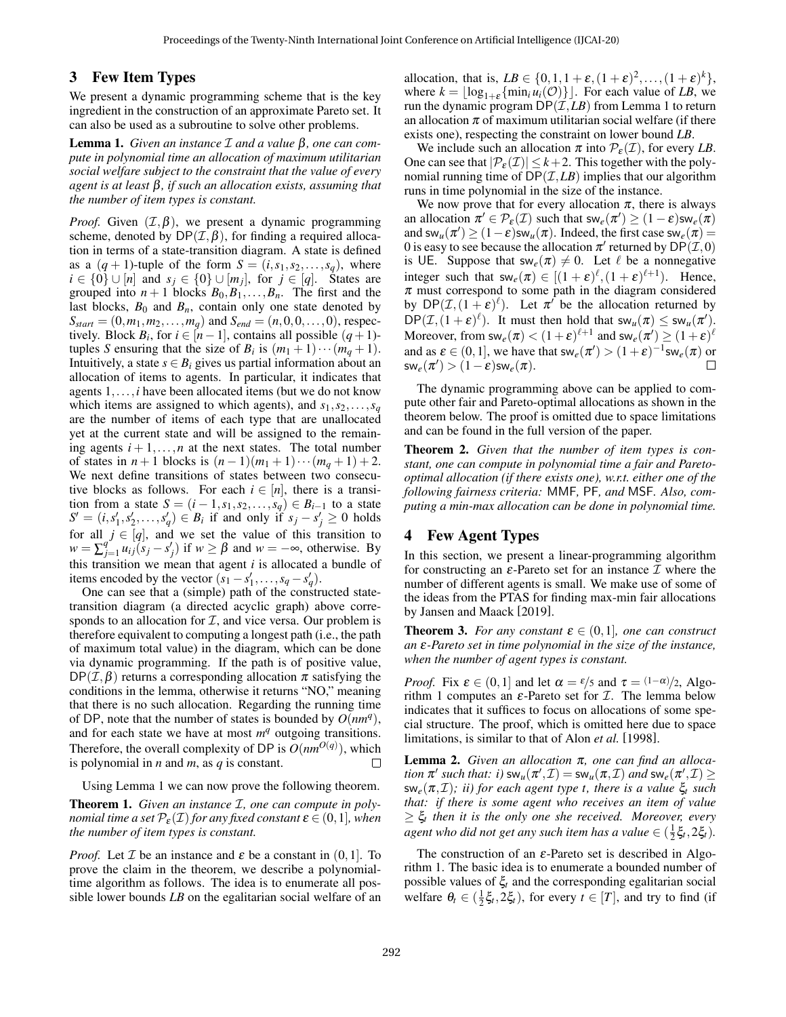### 3 Few Item Types

We present a dynamic programming scheme that is the key ingredient in the construction of an approximate Pareto set. It can also be used as a subroutine to solve other problems.

<span id="page-2-0"></span>Lemma 1. *Given an instance* I *and a value* β*, one can compute in polynomial time an allocation of maximum utilitarian social welfare subject to the constraint that the value of every agent is at least* β*, if such an allocation exists, assuming that the number of item types is constant.*

*Proof.* Given  $(\mathcal{I}, \beta)$ , we present a dynamic programming scheme, denoted by  $DP(\mathcal{I}, \beta)$ , for finding a required allocation in terms of a state-transition diagram. A state is defined as a  $(q + 1)$ -tuple of the form  $S = (i, s_1, s_2, \ldots, s_q)$ , where *i* ∈ {0} ∪ [*n*] and *s<sub>j</sub>* ∈ {0} ∪ [*m<sub>j</sub>*], for *j* ∈ [*q*]. States are grouped into  $n + 1$  blocks  $B_0, B_1, \ldots, B_n$ . The first and the last blocks,  $B_0$  and  $B_n$ , contain only one state denoted by  $S_{start} = (0, m_1, m_2, \dots, m_q)$  and  $S_{end} = (n, 0, 0, \dots, 0)$ , respectively. Block *B*<sup>*i*</sup>, for  $i \in [n-1]$ , contains all possible  $(q + 1)$ tuples *S* ensuring that the size of  $B_i$  is  $(m_1 + 1) \cdots (m_q + 1)$ . Intuitively, a state  $s \in B_i$  gives us partial information about an allocation of items to agents. In particular, it indicates that agents 1,...,*i* have been allocated items (but we do not know which items are assigned to which agents), and  $s_1, s_2, \ldots, s_q$ are the number of items of each type that are unallocated yet at the current state and will be assigned to the remaining agents  $i+1, \ldots, n$  at the next states. The total number of states in *n* + 1 blocks is  $(n-1)(m_1 + 1) \cdots (m_q + 1) + 2$ . We next define transitions of states between two consecutive blocks as follows. For each  $i \in [n]$ , there is a transition from a state  $S = (i-1, s_1, s_2, \ldots, s_q) \in B_{i-1}$  to a state  $S' = (i, s'_1, s'_2, \dots, s'_q) \in B_i$  if and only if  $s_j - s'_j \ge 0$  holds for all  $j \in [q]$ , and we set the value of this transition to  $w = \sum_{i=1}^{q}$  $\int_{j=1}^{q} u_{ij}(s_j - s'_j)$  if  $w \ge \beta$  and  $w = -\infty$ , otherwise. By this transition we mean that agent *i* is allocated a bundle of items encoded by the vector  $(s_1 - s'_1, \ldots, s_q - s'_q)$ .

One can see that a (simple) path of the constructed statetransition diagram (a directed acyclic graph) above corresponds to an allocation for  $I$ , and vice versa. Our problem is therefore equivalent to computing a longest path (i.e., the path of maximum total value) in the diagram, which can be done via dynamic programming. If the path is of positive value,  $DP(\mathcal{I}, \beta)$  returns a corresponding allocation  $\pi$  satisfying the conditions in the lemma, otherwise it returns "NO," meaning that there is no such allocation. Regarding the running time of DP, note that the number of states is bounded by  $\widetilde{O(nm^q)}$ , and for each state we have at most  $m<sup>q</sup>$  outgoing transitions. Therefore, the overall complexity of DP is  $O(nm^{O(q)})$ , which is polynomial in *n* and *m*, as *q* is constant.  $\Box$ 

Using Lemma [1](#page-2-0) we can now prove the following theorem.

Theorem 1. *Given an instance* I*, one can compute in polynomial time a set*  $\mathcal{P}_{\varepsilon}(\mathcal{I})$  *for any fixed constant*  $\varepsilon \in (0,1]$ *, when the number of item types is constant.*

*Proof.* Let  $I$  be an instance and  $\varepsilon$  be a constant in  $(0,1]$ . To prove the claim in the theorem, we describe a polynomialtime algorithm as follows. The idea is to enumerate all possible lower bounds *LB* on the egalitarian social welfare of an

allocation, that is,  $LB \in \{0, 1, 1 + \varepsilon, (1 + \varepsilon)^2, \ldots, (1 + \varepsilon)^k\},\$ where  $k = \lfloor \log_{1+\epsilon} \{\min_i u_i(\mathcal{O})\} \rfloor$ . For each value of *LB*, we run the dynamic program  $DP(\mathcal{I}, LB)$  from Lemma [1](#page-2-0) to return an allocation  $\pi$  of maximum utilitarian social welfare (if there exists one), respecting the constraint on lower bound *LB*.

We include such an allocation  $\pi$  into  $\mathcal{P}_{\varepsilon}(\mathcal{I})$ , for every *LB*. One can see that  $|\mathcal{P}_{\varepsilon}(\mathcal{I})| \leq k+2$ . This together with the polynomial running time of  $DP(\mathcal{I}, LB)$  implies that our algorithm runs in time polynomial in the size of the instance.

We now prove that for every allocation  $\pi$ , there is always an allocation  $\pi' \in \mathcal{P}_{\varepsilon}(\mathcal{I})$  such that  $\mathsf{sw}_e(\pi') \geq (1-\varepsilon) \mathsf{sw}_e(\pi)$ and  $sw_u(\pi') \ge (1-\varepsilon)sw_u(\pi)$ . Indeed, the first case  $sw_e(\pi) =$ 0 is easy to see because the allocation  $\pi'$  returned by  $\mathsf{DP}(\mathcal{I},0)$ is UE. Suppose that  $sw_e(\pi) \neq 0$ . Let  $\ell$  be a nonnegative integer such that  $sw_e(\pi) \in [(1+\varepsilon)^{\ell}, (1+\varepsilon)^{\ell+1})$ . Hence,  $\pi$  must correspond to some path in the diagram considered by  $DP(\mathcal{I}, (1+\varepsilon)^{\ell})$ . Let  $\pi^{\ell}$  be the allocation returned by  $DP(\mathcal{I}, (1+\varepsilon)^{\ell})$ . It must then hold that  $sw_u(\pi) \le sw_u(\pi')$ . Moreover, from  $\mathsf{sw}_e(\pi) < (1+\varepsilon)^{\ell+1}$  and  $\mathsf{sw}_e(\pi') \ge (1+\varepsilon)^{\ell}$ and as  $\varepsilon \in (0,1]$ , we have that  $\mathsf{sw}_e(\pi') > (1+\varepsilon)^{-1} \mathsf{sw}_e(\pi)$  or  $\mathsf{sw}_e(\pi') > (1-\varepsilon) \mathsf{sw}_e(\pi).$ 

The dynamic programming above can be applied to compute other fair and Pareto-optimal allocations as shown in the theorem below. The proof is omitted due to space limitations and can be found in the full version of the paper.

Theorem 2. *Given that the number of item types is constant, one can compute in polynomial time a fair and Paretooptimal allocation (if there exists one), w.r.t. either one of the following fairness criteria:* MMF*,* PF*, and* MSF*. Also, computing a min-max allocation can be done in polynomial time.*

## 4 Few Agent Types

In this section, we present a linear-programming algorithm for constructing an  $\varepsilon$ -Pareto set for an instance  $\mathcal I$  where the number of different agents is small. We make use of some of the ideas from the PTAS for finding max-min fair allocations by Jansen and Maack [\[2019\]](#page-6-10).

<span id="page-2-2"></span>**Theorem 3.** *For any constant*  $\varepsilon \in (0,1]$ *, one can construct an* ε*-Pareto set in time polynomial in the size of the instance, when the number of agent types is constant.*

*Proof.* Fix  $\varepsilon \in (0,1]$  and let  $\alpha = \varepsilon/5$  and  $\tau = (1-\alpha)/2$ , Algo-rithm [1](#page-3-0) computes an  $\varepsilon$ -Pareto set for  $\mathcal{I}$ . The lemma below indicates that it suffices to focus on allocations of some special structure. The proof, which is omitted here due to space limitations, is similar to that of Alon *et al.* [\[1998\]](#page-6-25).

<span id="page-2-1"></span>Lemma 2. *Given an allocation* π*, one can find an allocation*  $\pi'$  such that: i)  $sw_u(\pi', \mathcal{I}) = sw_u(\pi, \mathcal{I})$  and  $sw_e(\pi', \mathcal{I}) \ge$ sw*e*(π,I)*; ii) for each agent type t, there is a value* ξ*<sup>t</sup> such that: if there is some agent who receives an item of value* ≥ ξ*<sup>t</sup> then it is the only one she received. Moreover, every*  $a$ *gent who did not get any such item has a value*  $\in$   $(\frac{1}{2}\xi_t, 2\xi_t)$ .

The construction of an  $\varepsilon$ -Pareto set is described in Algorithm [1.](#page-3-0) The basic idea is to enumerate a bounded number of possible values of  $\xi_t$  and the corresponding egalitarian social welfare  $\theta_t \in (\frac{1}{2}\xi_t, 2\xi_t)$ , for every  $t \in [T]$ , and try to find (if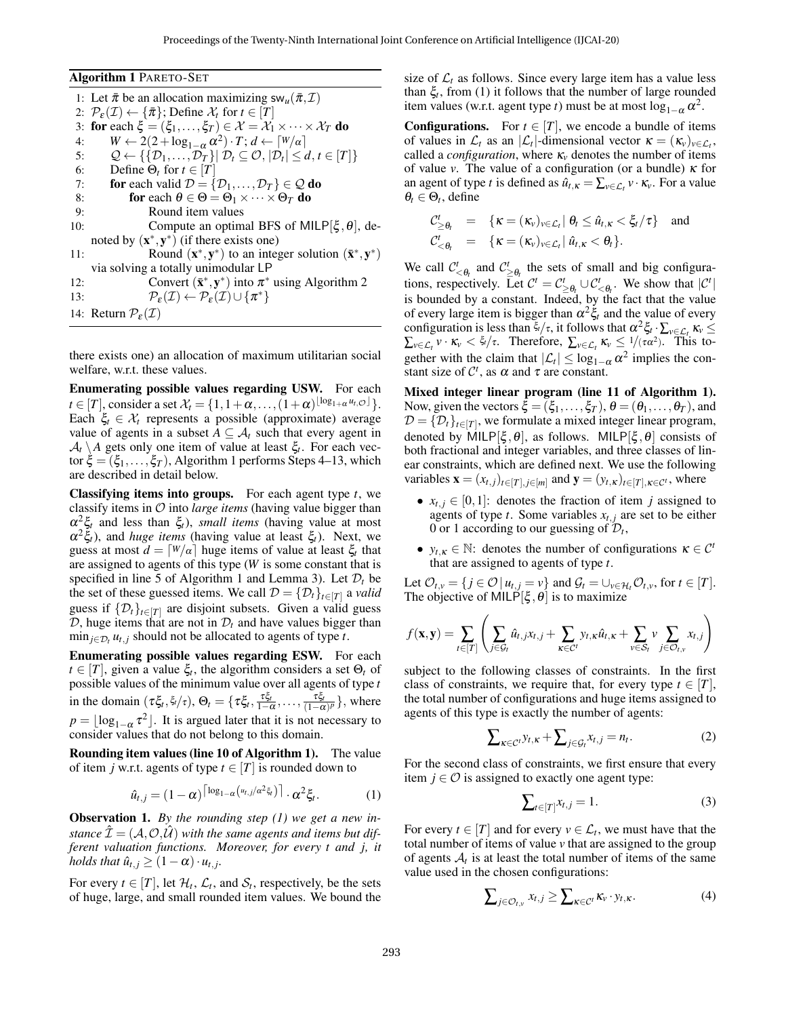<span id="page-3-0"></span>

| <b>Algorithm 1 PARETO-SET</b>                                                                                                                      |
|----------------------------------------------------------------------------------------------------------------------------------------------------|
| 1: Let $\bar{\pi}$ be an allocation maximizing sw <sub>u</sub> $(\bar{\pi}, \mathcal{I})$                                                          |
| 2: $\mathcal{P}_{\varepsilon}(\mathcal{I}) \leftarrow {\pi}$ ; Define $\mathcal{X}_t$ for $t \in [T]$                                              |
| 3: for each $\xi = (\xi_1, \ldots, \xi_T) \in \mathcal{X} = \mathcal{X}_1 \times \cdots \times \mathcal{X}_T$ do                                   |
| $W \leftarrow 2(2 + \log_{1-\alpha} \alpha^2) \cdot T$ ; $d \leftarrow [W/\alpha]$                                                                 |
| $\mathcal{Q} \leftarrow \{ \{ \mathcal{D}_1, \ldots, \mathcal{D}_T \}   \mathcal{D}_t \subseteq \mathcal{O},  \mathcal{D}_t  \leq d, t \in [T] \}$ |
| Define $\Theta_t$ for $t \in [T]$                                                                                                                  |
| for each valid $\mathcal{D} = {\mathcal{D}_1, , \mathcal{D}_T} \in \mathcal{Q}$ do                                                                 |
| for each $\theta \in \Theta = \Theta_1 \times \cdots \times \Theta_T$ do                                                                           |
| Round item values                                                                                                                                  |
| Compute an optimal BFS of MILP $[\xi, \theta]$ , de-                                                                                               |
| noted by $(x^*, y^*)$ (if there exists one)                                                                                                        |
| Round $(\mathbf{x}^*, \mathbf{y}^*)$ to an integer solution $(\bar{\mathbf{x}}^*, \mathbf{y}^*)$                                                   |
| via solving a totally unimodular LP                                                                                                                |
| Convert $(\bar{\mathbf{x}}^*, \mathbf{y}^*)$ into $\pi^*$ using Algorithm 2                                                                        |
| $\mathcal{P}_{\varepsilon}(\mathcal{I}) \leftarrow \mathcal{P}_{\varepsilon}(\mathcal{I}) \cup \{\pi^*\}$                                          |
| 14: Return $P_{\varepsilon}(\mathcal{I})$                                                                                                          |
|                                                                                                                                                    |

there exists one) an allocation of maximum utilitarian social welfare, w.r.t. these values.

Enumerating possible values regarding USW. For each *t*  $\in$  [*T*], consider a set  $\mathcal{X}_t = \{1, 1 + \alpha, \ldots, (1 + \alpha)^{\lfloor \log_{1 + \alpha} u_t, \mathcal{O} \rfloor} \}.$ Each  $\xi_t \in \mathcal{X}_t$  represents a possible (approximate) average value of agents in a subset  $A \subseteq \mathcal{A}_t$  such that every agent in  $\mathcal{A}_t \setminus A$  gets only one item of value at least  $\xi_t$ . For each vector  $\xi = (\xi_1, \dots, \xi_T)$ , Algorithm [1](#page-3-0) performs Steps [4–13,](#page-3-0) which are described in detail below.

Classifying items into groups. For each agent type *t*, we classify items in O into *large items* (having value bigger than  $\alpha^2 \xi_t$  and less than  $\xi_t$ ), *small items* (having value at most  $\alpha^2 \xi_t$ ), and *huge items* (having value at least  $\xi_t$ ). Next, we guess at most  $d = \lceil W/\alpha \rceil$  huge items of value at least  $\xi_t$  that are assigned to agents of this type (*W* is some constant that is specified in line 5 of Algorithm [1](#page-3-0) and Lemma [3\)](#page-4-1). Let  $\mathcal{D}_t$  be the set of these guessed items. We call  $\mathcal{D} = {\{\mathcal{D}_t\}}_{t \in [T]}$  a *valid* guess if  $\{\mathcal{D}_t\}_{t \in [T]}$  are disjoint subsets. Given a valid guess D, huge items that are not in  $D_t$  and have values bigger than  $\min_{j \in \mathcal{D}_t} u_{t,j}$  should not be allocated to agents of type *t*.

Enumerating possible values regarding ESW. For each  $t \in [T]$ , given a value  $\xi_t$ , the algorithm considers a set  $\Theta_t$  of possible values of the minimum value over all agents of type *t* in the domain  $(\tau \xi_t, \xi/\tau), \Theta_t = {\tau \xi_t, \frac{\tau \xi_t}{1-\alpha}, \dots, \frac{\tau \xi_t}{(1-\alpha)^p}}$ , where  $p = \lfloor \log_{1-\alpha} \tau^2 \rfloor$ . It is argued later that it is not necessary to consider values that do not belong to this domain.

Rounding item values (line 10 of Algorithm [1\)](#page-3-0). The value of item *j* w.r.t. agents of type  $t \in [T]$  is rounded down to

$$
\hat{u}_{t,j} = (1 - \alpha)^{\lceil \log_{1 - \alpha} (u_{t,j}/\alpha^2 \xi_t) \rceil} \cdot \alpha^2 \xi_t.
$$
 (1)

Observation 1. *By the rounding step [\(1\)](#page-3-1) we get a new instance*  $\hat{\mathcal{I}} = (\mathcal{A}, \mathcal{O}, \hat{\mathcal{U}})$  *with the same agents and items but different valuation functions. Moreover, for every t and j, it holds that*  $\hat{u}_{t,j} \geq (1 - \alpha) \cdot u_{t,j}$ .

For every  $t \in [T]$ , let  $\mathcal{H}_t$ ,  $\mathcal{L}_t$ , and  $\mathcal{S}_t$ , respectively, be the sets of huge, large, and small rounded item values. We bound the size of  $\mathcal{L}_t$  as follows. Since every large item has a value less than  $\xi$ , from [\(1\)](#page-3-1) it follows that the number of large rounded item values (w.r.t. agent type *t*) must be at most  $\log_{1-\alpha} \alpha^2$ .

**Configurations.** For  $t \in [T]$ , we encode a bundle of items of values in  $\mathcal{L}_t$  as an  $|\mathcal{L}_t|$ -dimensional vector  $\kappa = (\kappa_v)_{v \in \mathcal{L}_t}$ , called a *configuration*, where  $\kappa$ <sup>*v*</sup> denotes the number of items of value *v*. The value of a configuration (or a bundle) κ for an agent of type *t* is defined as  $\hat{u}_{t,\kappa} = \sum_{v \in \mathcal{L}_t} v \cdot \kappa_v$ . For a value  $\theta_t \in \Theta_t$ , define

$$
C_{\geq \theta_t}^t = \{ \kappa = (\kappa_v)_{v \in \mathcal{L}_t} | \theta_t \leq \hat{u}_{t,\kappa} < \xi_t / \tau \} \text{ and}
$$
  

$$
C_{<\theta_t}^t = \{ \kappa = (\kappa_v)_{v \in \mathcal{L}_t} | \hat{u}_{t,\kappa} < \theta_t \}.
$$

We call  $C^t_{\leq \theta_t}$  and  $C^t_{\geq \theta_t}$  the sets of small and big configurations, respectively. Let  $C^t = C^t_{\geq \theta_t} \cup C^t_{\leq \theta_t}$ . We show that  $|C^t|$ is bounded by a constant. Indeed, by the fact that the value of every large item is bigger than  $\alpha^2 \xi_t$  and the value of every configuration is less than  $\xi_t/\tau$ , it follows that  $\alpha^2 \xi_t \cdot \sum_{v \in \mathcal{L}_t} \kappa_v \leq$  $\sum_{v \in \mathcal{L}_t} v \cdot \kappa_v < \xi_t/\tau$ . Therefore,  $\sum_{v \in \mathcal{L}_t} \kappa_v \leq 1/(\tau \alpha^2)$ . This together with the claim that  $|\mathcal{L}_t| \leq \log_{1-\alpha} \alpha^2$  implies the constant size of  $\mathcal{C}^t$ , as  $\alpha$  and  $\tau$  are constant.

Mixed integer linear program (line 11 of Algorithm [1\)](#page-3-0). Now, given the vectors  $\xi = (\xi_1, \dots, \xi_T)$ ,  $\theta = (\theta_1, \dots, \theta_T)$ , and  $D = \{D_t\}_{t \in [T]}$ , we formulate a mixed integer linear program, denoted by MILP[ $\xi, \theta$ ], as follows. MILP[ $\xi, \theta$ ] consists of both fractional and integer variables, and three classes of linear constraints, which are defined next. We use the following variables  $\mathbf{x} = (x_{t,j})_{t \in [T], j \in [m]}$  and  $\mathbf{y} = (y_{t,\kappa})_{t \in [T], \kappa \in \mathcal{C}^t}$ , where

- $x_{t,j} \in [0,1]$ : denotes the fraction of item *j* assigned to agents of type  $t$ . Some variables  $x_{t,j}$  are set to be either 0 or 1 according to our guessing of  $\mathcal{D}_t$ ,
- $y_{t,K} \in \mathbb{N}$ : denotes the number of configurations  $\kappa \in \mathcal{C}^t$ that are assigned to agents of type *t*.

Let  $\mathcal{O}_{t,v} = \{ j \in \mathcal{O} \mid u_{t,j} = v \}$  and  $\mathcal{G}_t = \bigcup_{v \in \mathcal{H}_t} \mathcal{O}_{t,v}$ , for  $t \in [T]$ . The objective of MILP[ $\xi, \theta$ ] is to maximize

$$
f(\mathbf{x}, \mathbf{y}) = \sum_{t \in [T]} \left( \sum_{j \in \mathcal{G}_t} \hat{u}_{t,j} x_{t,j} + \sum_{\kappa \in \mathcal{C}'} y_{t,\kappa} \hat{u}_{t,\kappa} + \sum_{v \in \mathcal{S}_t} v \sum_{j \in \mathcal{O}_{t,v}} x_{t,j} \right)
$$

subject to the following classes of constraints. In the first class of constraints, we require that, for every type  $t \in [T]$ , the total number of configurations and huge items assigned to agents of this type is exactly the number of agents:

$$
\sum_{\kappa \in \mathcal{C}^t} y_{t,\kappa} + \sum_{j \in \mathcal{G}_t} x_{t,j} = n_t.
$$
 (2)

<span id="page-3-1"></span>For the second class of constraints, we first ensure that every item  $j \in \mathcal{O}$  is assigned to exactly one agent type:

<span id="page-3-4"></span><span id="page-3-3"></span><span id="page-3-2"></span>
$$
\sum_{t\in[T]}x_{t,j}=1.\tag{3}
$$

For every  $t \in [T]$  and for every  $v \in \mathcal{L}_t$ , we must have that the total number of items of value *v* that are assigned to the group of agents  $A_t$  is at least the total number of items of the same value used in the chosen configurations:

$$
\sum\nolimits_{j \in \mathcal{O}_{t,v}} x_{t,j} \geq \sum\nolimits_{\kappa \in \mathcal{C}^t} \kappa_v \cdot y_{t,\kappa}.
$$
 (4)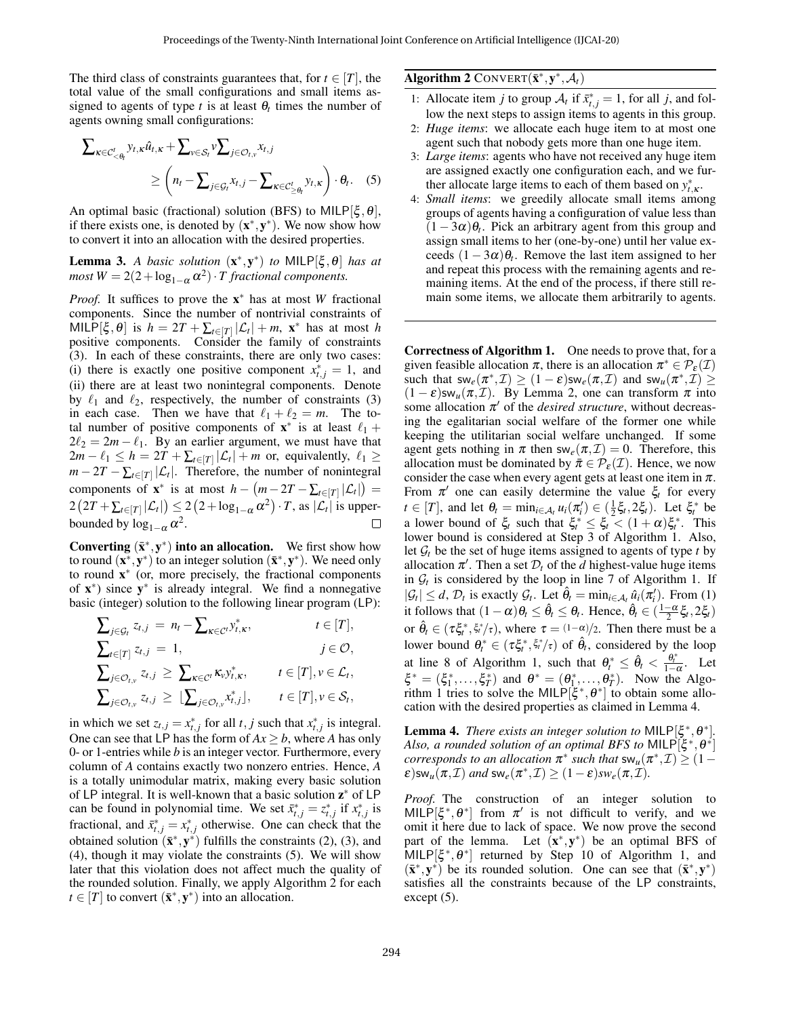The third class of constraints guarantees that, for  $t \in [T]$ , the total value of the small configurations and small items assigned to agents of type  $t$  is at least  $\theta_t$  times the number of agents owning small configurations:

$$
\sum_{\kappa \in C'_{< \theta_t}} y_{t,\kappa} \hat{u}_{t,\kappa} + \sum_{v \in S_t} v \sum_{j \in \mathcal{O}_{t,v}} x_{t,j} \newline \geq \left( n_t - \sum_{j \in \mathcal{G}_t} x_{t,j} - \sum_{\kappa \in C'_{\geq \theta_t}} y_{t,\kappa} \right) \cdot \theta_t. \quad (5)
$$

An optimal basic (fractional) solution (BFS) to MILP[ $\xi, \theta$ ], if there exists one, is denoted by  $(x^*, y^*)$ . We now show how to convert it into an allocation with the desired properties.

<span id="page-4-1"></span>**Lemma 3.** *A basic solution*  $(x^*, y^*)$  *to* MILP[ $\xi, \theta$ ] *has at*  $most W = 2(2 + log_{1-\alpha} \alpha^2) \cdot T$  *fractional components.* 

*Proof.* It suffices to prove the **x**<sup>∗</sup> has at most *W* fractional components. Since the number of nontrivial constraints of  $MILP[\xi, \theta]$  is  $h = 2T + \sum_{t \in [T]} |\mathcal{L}_t| + m$ ,  $\mathbf{x}^*$  has at most *h* positive components. Consider the family of constraints [\(3\)](#page-3-2). In each of these constraints, there are only two cases: (i) there is exactly one positive component  $x_{t,j}^* = 1$ , and (ii) there are at least two nonintegral components. Denote by  $\ell_1$  and  $\ell_2$ , respectively, the number of constraints [\(3\)](#page-3-2) in each case. Then we have that  $\ell_1 + \ell_2 = m$ . The total number of positive components of  $\mathbf{x}^*$  is at least  $\ell_1 +$  $2\ell_2 = 2m - \ell_1$ . By an earlier argument, we must have that  $2m - \ell_1 \leq h = 2T + \sum_{t \in [T]} |\mathcal{L}_t| + m$  or, equivalently,  $\ell_1 \geq$  $m - 2T - \sum_{t \in [T]} |\mathcal{L}_t|$ . Therefore, the number of nonintegral components of  $\mathbf{x}^*$  is at most  $h - (m - 2T - \sum_{t \in [T]} |\mathcal{L}_t|) =$  $2\left(2T+\sum_{t\in[T]}|\mathcal{L}_t|\right)\leq 2\left(2+\log_{1-\alpha}\alpha^2\right)\cdot T, \text{ as }|\mathcal{L}_t| \text{ is upper-}$ bounded by  $\log_{1-\alpha} \alpha^2$ . П

Converting  $(\bar{x}^*, y^*)$  into an allocation. We first show how to round  $(\mathbf{x}^*, \mathbf{y}^*)$  to an integer solution  $(\mathbf{\bar{x}}^*, \mathbf{y}^*)$ . We need only to round  $\mathbf{x}^*$  (or, more precisely, the fractional components of  $x^*$ ) since  $y^*$  is already integral. We find a nonnegative basic (integer) solution to the following linear program (LP):

$$
\sum_{j \in \mathcal{G}_t} z_{t,j} = n_t - \sum_{\kappa \in \mathcal{C}^t} y_{t,\kappa}^*, \qquad t \in [T],
$$
\n
$$
\sum_{t \in [T]} z_{t,j} = 1, \qquad j \in \mathcal{O},
$$
\n
$$
\sum_{j \in \mathcal{O}_{t,\nu}} z_{t,j} \ge \sum_{\kappa \in \mathcal{C}^t} \kappa_{\nu} y_{t,\kappa}^*, \qquad t \in [T], \nu \in \mathcal{L}_t,
$$
\n
$$
\sum_{j \in \mathcal{O}_{t,\nu}} z_{t,j} \ge \lfloor \sum_{j \in \mathcal{O}_{t,\nu}} x_{t,j}^* \rfloor, \qquad t \in [T], \nu \in \mathcal{S}_t,
$$

in which we set  $z_{t,j} = x_{t,j}^*$  for all  $t, j$  such that  $x_{t,j}^*$  is integral. One can see that LP has the form of  $Ax > b$ , where *A* has only 0- or 1-entries while *b* is an integer vector. Furthermore, every column of *A* contains exactly two nonzero entries. Hence, *A* is a totally unimodular matrix, making every basic solution of LP integral. It is well-known that a basic solution  $z^*$  of LP can be found in polynomial time. We set  $\bar{x}_{t,j}^* = z_{t,j}^*$  if  $x_{t,j}^*$  is fractional, and  $\bar{x}_{t,j}^* = x_{t,j}^*$  otherwise. One can check that the obtained solution  $(\bar{\mathbf{x}}^*, \mathbf{y}^*)$  fulfills the constraints [\(2\)](#page-3-3), [\(3\)](#page-3-2), and [\(4\)](#page-3-4), though it may violate the constraints [\(5\)](#page-4-2). We will show later that this violation does not affect much the quality of the rounded solution. Finally, we apply Algorithm [2](#page-4-0) for each  $t \in [T]$  to convert  $(\bar{\mathbf{x}}^*, \mathbf{y}^*)$  into an allocation.

# <span id="page-4-0"></span>Algorithm 2 CONVERT $(\bar{\mathbf{x}}^*, \mathbf{y}^*, \mathcal{A}_t)$

- 1: Allocate item *j* to group  $A_t$  if  $\bar{x}_{t,j}^* = 1$ , for all *j*, and follow the next steps to assign items to agents in this group.
- 2: *Huge items*: we allocate each huge item to at most one agent such that nobody gets more than one huge item.
- <span id="page-4-2"></span>3: *Large items*: agents who have not received any huge item are assigned exactly one configuration each, and we further allocate large items to each of them based on  $y_{t,\kappa}^*$ .
- 4: *Small items*: we greedily allocate small items among groups of agents having a configuration of value less than  $(1 - 3\alpha)\theta$ <sub>t</sub>. Pick an arbitrary agent from this group and assign small items to her (one-by-one) until her value exceeds  $(1 - 3\alpha)\theta_t$ . Remove the last item assigned to her and repeat this process with the remaining agents and remaining items. At the end of the process, if there still remain some items, we allocate them arbitrarily to agents.

Correctness of Algorithm [1.](#page-3-0) One needs to prove that, for a given feasible allocation  $\pi$ , there is an allocation  $\pi^* \in \mathcal{P}_{\varepsilon}(\mathcal{I})$ such that  $sw_e(\pi^*, \mathcal{I}) \ge (1 - \varepsilon)sw_e(\pi, \mathcal{I})$  and  $sw_u(\pi^*, \mathcal{I}) \ge$  $(1 - \varepsilon)$ sw<sub>u</sub> $(\pi, \mathcal{I})$ . By Lemma [2,](#page-2-1) one can transform  $\pi$  into some allocation  $\pi'$  of the *desired structure*, without decreasing the egalitarian social welfare of the former one while keeping the utilitarian social welfare unchanged. If some agent gets nothing in  $\pi$  then sw<sub>e</sub>( $\pi$ , $\mathcal{I}$ ) = 0. Therefore, this allocation must be dominated by  $\bar{\pi} \in \mathcal{P}_{\varepsilon}(\mathcal{I})$ . Hence, we now consider the case when every agent gets at least one item in  $\pi$ . From  $\pi'$  one can easily determine the value  $\xi_t$  for every  $t \in [T]$ , and let  $\theta_t = \min_{i \in A_t} u_i(\pi_i') \in (\frac{1}{2}\xi_t, 2\xi_t)$ . Let  $\xi_t^*$  be a lower bound of  $\xi_t$  such that  $\xi_t^* \leq \xi_t < (1 + \alpha) \xi_t^*$ . This lower bound is considered at Step [3](#page-3-0) of Algorithm [1.](#page-3-0) Also, let  $G_t$  be the set of huge items assigned to agents of type *t* by allocation  $\pi'$ . Then a set  $\mathcal{D}_t$  of the *d* highest-value huge items in  $G_t$  is considered by the loop in line [7](#page-3-0) of Algorithm [1.](#page-3-0) If  $|\mathcal{G}_t| \leq d$ ,  $\mathcal{D}_t$  is exactly  $\mathcal{G}_t$ . Let  $\hat{\theta}_t = \min_{i \in \mathcal{A}_t} \hat{u}_i(\pi'_i)$ . From [\(1\)](#page-3-1) it follows that  $(1 - \alpha)\theta_t \leq \hat{\theta}_t \leq \theta_t$ . Hence,  $\hat{\theta}_t \in (\frac{1 - \alpha}{2}\xi_t, 2\xi_t)$ or  $\hat{\theta}_t \in (\tau \xi_t^*, \xi_t^*/\tau)$ , where  $\tau = (1-\alpha)/2$ . Then there must be a lower bound  $\theta_t^* \in (\tau \xi_t^*, \xi_t^*/\tau)$  of  $\hat{\theta}_t$ , considered by the loop at line [8](#page-3-0) of Algorithm [1,](#page-3-0) such that  $\theta_t^* \leq \hat{\theta}_t < \frac{\theta_t^*}{1-\alpha}$ . Let  $\xi^* = (\xi_1^*, \dots, \xi_T^*)$  and  $\theta^* = (\theta_1^*, \dots, \theta_T^*)$ . Now the Algo-rithm [1](#page-3-0) tries to solve the MILP $[\xi^*, \theta^*]$  to obtain some allocation with the desired properties as claimed in Lemma [4.](#page-4-3)

<span id="page-4-3"></span>**Lemma 4.** *There exists an integer solution to* MILP $[\xi^*, \theta^*]$ . Also, a rounded solution of an optimal BFS to MILP $[\xi^*, \theta^*]$ *corresponds to an allocation*  $\pi^*$  *such that*  $sw_u(\pi^*, \mathcal{I}) \geq (1 - \pi^*)$  $\varepsilon$ )sw<sub>u</sub> $(\pi, \mathcal{I})$  and sw<sub>e</sub> $(\pi^*, \mathcal{I}) \geq (1 - \varepsilon)$ sw<sub>e</sub> $(\pi, \mathcal{I})$ .

*Proof.* The construction of an integer solution to MILP $[\xi^*, \theta^*]$  from  $\pi'$  is not difficult to verify, and we omit it here due to lack of space. We now prove the second part of the lemma. Let  $(x^*, y^*)$  be an optimal BFS of  $\hat{\mathsf{MILP}}[\xi^*, \theta^*]$  returned by Step [10](#page-3-0) of Algorithm [1,](#page-3-0) and  $(\bar{\mathbf{x}}^*, \mathbf{y}^*)$  be its rounded solution. One can see that  $(\bar{\mathbf{x}}^*, \mathbf{y}^*)$ satisfies all the constraints because of the LP constraints, except [\(5\)](#page-4-2).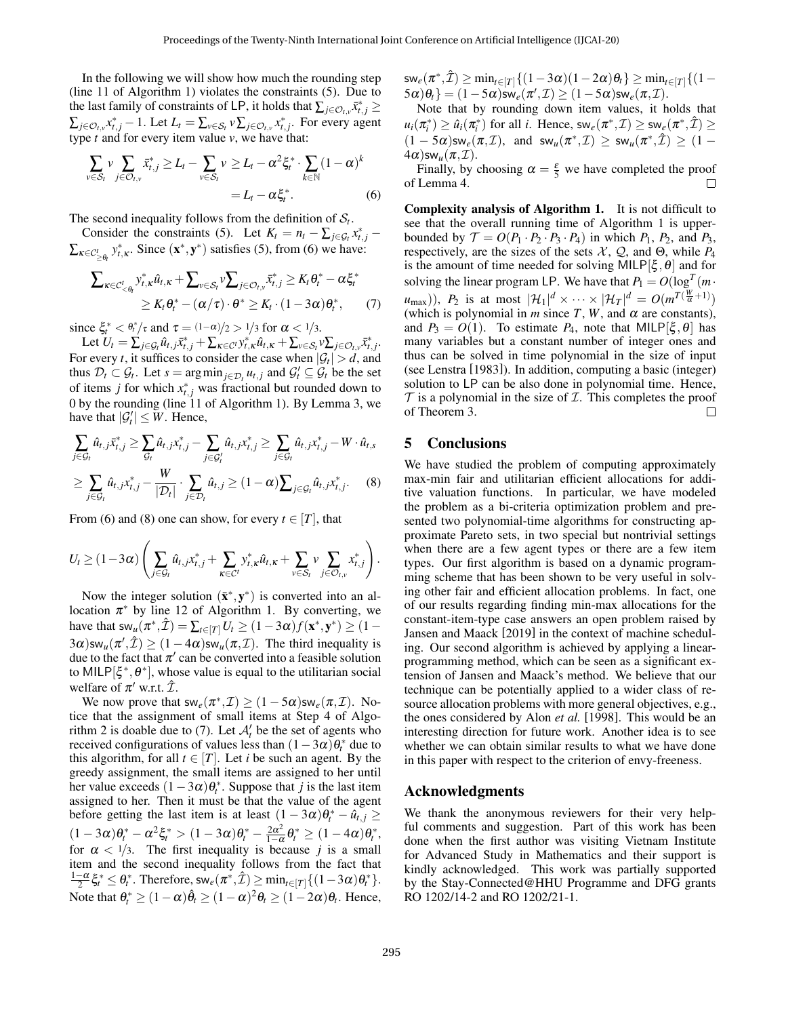In the following we will show how much the rounding step (line [11](#page-3-0) of Algorithm [1\)](#page-3-0) violates the constraints [\(5\)](#page-4-2). Due to the last family of constraints of LP, it holds that  $\sum_{j \in \mathcal{O}_t, v} \bar{x}_{t,j}^* \geq$  $\sum_{j \in \mathcal{O}_{t,v}} x^*_{t,j} - 1$ . Let  $L_t = \sum_{v \in \mathcal{S}_t} v \sum_{j \in \mathcal{O}_{t,v}} x^*_{t,j}$ . For every agent type *t* and for every item value *v*, we have that:

$$
\sum_{v \in S_t} v \sum_{j \in \mathcal{O}_{t,v}} \bar{x}_{t,j}^* \ge L_t - \sum_{v \in S_t} v \ge L_t - \alpha^2 \xi_t^* \cdot \sum_{k \in \mathbb{N}} (1 - \alpha)^k
$$
  
=  $L_t - \alpha \xi_t^*.$  (6)

The second inequality follows from the definition of  $S_t$ .

Consider the constraints [\(5\)](#page-4-2). Let  $K_t = n_t - \sum_{j \in \mathcal{G}_t} x_{t,j}^*$  $\sum_{\kappa \in C'_{\geq \theta_t}} y_{t,\kappa}^*$ . Since  $(\mathbf{x}^*, \mathbf{y}^*)$  satisfies [\(5\)](#page-4-2), from [\(6\)](#page-5-0) we have:

$$
\sum_{\kappa \in C'_{< \theta_i}} v_{t,\kappa}^* \hat{u}_{t,\kappa} + \sum_{v \in S_t} v_{t,\kappa} \sum_{j \in \mathcal{O}_{t,v}} \bar{x}_{t,j}^* \geq K_t \theta_t^* - \alpha \xi_t^*
$$
\n
$$
\geq K_t \theta_t^* - (\alpha/\tau) \cdot \theta^* \geq K_t \cdot (1 - 3\alpha) \theta_t^*,\tag{7}
$$

since  $\xi_t^* < \theta_t^*/\tau$  and  $\tau = \frac{(1-\alpha)}{2} > \frac{1}{3}$  for  $\alpha < \frac{1}{3}$ .

Let  $U_t = \sum_{j \in \mathcal{G}_t} \hat{u}_{t,j} \bar{x}_{t,j}^* + \sum_{\kappa \in \mathcal{C}'} y_{t,\kappa}^* \hat{u}_{t,\kappa} + \sum_{v \in \mathcal{S}_t} v \sum_{j \in \mathcal{O}_{t,v}} \bar{x}_{t,j}^*$ . For every *t*, it suffices to consider the case when  $|\mathcal{G}_t| > d$ , and thus  $\mathcal{D}_t \subset \mathcal{G}_t$ . Let  $s = \arg \min_{j \in \mathcal{D}_t} u_{t,j}$  and  $\mathcal{G}'_t \subseteq \mathcal{G}_t$  be the set of items *j* for which  $x_{t,j}^*$  was fractional but rounded down to 0 by the rounding (line [11](#page-3-0) of Algorithm [1\)](#page-3-0). By Lemma [3,](#page-4-1) we have that  $|\mathcal{G}'_t| \leq W$ . Hence,

$$
\sum_{j \in \mathcal{G}_t} \hat{u}_{t,j} \bar{x}_{t,j}^* \ge \sum_{\mathcal{G}_t} \hat{u}_{t,j} x_{t,j}^* - \sum_{j \in \mathcal{G}_t'} \hat{u}_{t,j} x_{t,j}^* \ge \sum_{j \in \mathcal{G}_t} \hat{u}_{t,j} x_{t,j}^* - W \cdot \hat{u}_{t,s}
$$
\n
$$
\ge \sum_{j \in \mathcal{G}_t} \hat{u}_{t,j} x_{t,j}^* - \frac{W}{|\mathcal{D}_t|} \cdot \sum_{j \in \mathcal{D}_t} \hat{u}_{t,j} \ge (1 - \alpha) \sum_{j \in \mathcal{G}_t} \hat{u}_{t,j} x_{t,j}^*.
$$
\n(8)

From [\(6\)](#page-5-0) and [\(8\)](#page-5-1) one can show, for every  $t \in [T]$ , that

$$
U_t \geq (1-3\alpha) \left( \sum_{j \in \mathcal{G}_t} \hat{u}_{t,j} x_{t,j}^* + \sum_{\kappa \in \mathcal{C}^t} y_{t,\kappa}^* \hat{u}_{t,\kappa} + \sum_{v \in \mathcal{S}_t} v \sum_{j \in \mathcal{O}_{t,v}} x_{t,j}^* \right).
$$

Now the integer solution  $(\bar{\mathbf{x}}^*, \mathbf{y}^*)$  is converted into an allocation  $\pi^*$  by line [12](#page-3-0) of Algorithm [1.](#page-3-0) By converting, we have that  $sw_u(\pi^*, \hat{\mathcal{I}}) = \sum_{t \in [T]} U_t \geq (1 - 3\alpha) f(\mathbf{x}^*, \mathbf{y}^*) \geq (1 - 3\alpha) f(\mathbf{x}^*, \mathbf{y}^*)$  $3\alpha$ )sw<sub>u</sub>( $\pi', \hat{\mathcal{I}}$ )  $\geq$  (1 – 4 $\alpha$ )sw<sub>u</sub>( $\pi, \mathcal{I}$ ). The third inequality is due to the fact that  $\pi'$  can be converted into a feasible solution to MILP[ $\xi^*, \theta^*$ ], whose value is equal to the utilitarian social welfare of  $\pi'$  w.r.t.  $\hat{\mathcal{I}}$ .

We now prove that  $sw_e(\pi^*, \mathcal{I}) \ge (1 - 5\alpha)sw_e(\pi, \mathcal{I})$ . Notice that the assignment of small items at Step [4](#page-4-0) of Algo-rithm [2](#page-4-0) is doable due to [\(7\)](#page-5-2). Let  $A'_t$  be the set of agents who received configurations of values less than  $(1-3\alpha)\theta_t^*$  due to this algorithm, for all  $t \in [T]$ . Let *i* be such an agent. By the greedy assignment, the small items are assigned to her until her value exceeds  $(1 - 3\alpha)\theta_t^*$ . Suppose that *j* is the last item assigned to her. Then it must be that the value of the agent before getting the last item is at least  $(1 - 3\alpha)\theta_t^* - \hat{u}_{t,j} \ge$  $(1-3\alpha)\theta_t^* - \alpha^2 \xi_t^* > (1-3\alpha)\theta_t^* - \frac{2\alpha^2}{1-\alpha^2}$  $\frac{2\alpha^2}{1-\alpha}\theta_t^* \geq (1-4\alpha)\theta_t^*,$ for  $\alpha < 1/3$ . The first inequality is because *j* is a small item and the second inequality follows from the fact that  $\frac{1-\alpha}{2}\xi_t^* \leq \theta_t^*$ . Therefore,  $\mathsf{sw}_e(\pi^*, \hat{\mathcal{I}}) \geq \min_{t \in [T]}\{(1-3\alpha)\theta_t^*\}.$ Note that  $\theta_t^* \ge (1-\alpha)\hat{\theta}_t \ge (1-\alpha)^2 \theta_t \ge (1-2\alpha)\theta_t$ . Hence,  $\mathsf{sw}_e(\pi^*, \hat{\mathcal{I}}) \geq \min_{t \in [T]} \{(1-3\alpha)(1-2\alpha)\theta_t\} \geq \min_{t \in [T]} \{(1-2\alpha)(1-2\alpha)\theta_t\}$  $\{\mathcal{5}\alpha\}\theta_t\} = (1 - 5\alpha)\mathsf{sw}_e(\pi', \mathcal{I}) \geq (1 - 5\alpha)\mathsf{sw}_e(\pi, \mathcal{I}).$ 

Note that by rounding down item values, it holds that  $u_i(\pi_i^*) \geq \hat{u}_i(\pi_i^*)$  for all *i*. Hence,  $\mathsf{sw}_e(\pi^*, \mathcal{I}) \geq \mathsf{sw}_e(\pi^*, \hat{\mathcal{I}}) \geq$  $(1 - 5\alpha)$ sw<sub>e</sub> $(\pi, \mathcal{I})$ , and sw<sub>u</sub> $(\pi^*, \mathcal{I}) \ge$  sw<sub>u</sub> $(\pi^*, \hat{\mathcal{I}}) \geq (1 - \pi)$  $4\alpha$ )sw<sub>u</sub> $(\pi, \mathcal{I})$ .

<span id="page-5-0"></span>Finally, by choosing  $\alpha = \frac{\varepsilon}{5}$  we have completed the proof of Lemma [4.](#page-4-3)

<span id="page-5-2"></span>Complexity analysis of Algorithm [1.](#page-3-0) It is not difficult to see that the overall running time of Algorithm [1](#page-3-0) is upperbounded by  $\mathcal{T} = O(P_1 \cdot P_2 \cdot P_3 \cdot P_4)$  in which  $P_1$ ,  $P_2$ , and  $P_3$ , respectively, are the sizes of the sets  $X$ ,  $Q$ , and  $\Theta$ , while  $P_4$ is the amount of time needed for solving MILP[ $\xi, \theta$ ] and for solving the linear program LP. We have that  $P_1 = O(\log^T(m \cdot$  $(u_{\text{max}})$ ),  $P_2$  is at most  $|\mathcal{H}_1|^d \times \cdots \times |\mathcal{H}_T|^d = O(m^{T(\frac{W}{\alpha}+1)})$ (which is polynomial in  $m$  since  $T$ ,  $W$ , and  $\alpha$  are constants), and  $P_3 = O(1)$ . To estimate  $P_4$ , note that MILP[ $\xi, \theta$ ] has many variables but a constant number of integer ones and thus can be solved in time polynomial in the size of input (see Lenstra [\[1983\]](#page-6-26)). In addition, computing a basic (integer) solution to LP can be also done in polynomial time. Hence,  $\mathcal T$  is a polynomial in the size of  $\mathcal I$ . This completes the proof of Theorem [3.](#page-2-2) П

### 5 Conclusions

<span id="page-5-1"></span>We have studied the problem of computing approximately max-min fair and utilitarian efficient allocations for additive valuation functions. In particular, we have modeled the problem as a bi-criteria optimization problem and presented two polynomial-time algorithms for constructing approximate Pareto sets, in two special but nontrivial settings when there are a few agent types or there are a few item types. Our first algorithm is based on a dynamic programming scheme that has been shown to be very useful in solving other fair and efficient allocation problems. In fact, one of our results regarding finding min-max allocations for the constant-item-type case answers an open problem raised by Jansen and Maack [\[2019\]](#page-6-10) in the context of machine scheduling. Our second algorithm is achieved by applying a linearprogramming method, which can be seen as a significant extension of Jansen and Maack's method. We believe that our technique can be potentially applied to a wider class of resource allocation problems with more general objectives, e.g., the ones considered by Alon *et al.* [\[1998\]](#page-6-25). This would be an interesting direction for future work. Another idea is to see whether we can obtain similar results to what we have done in this paper with respect to the criterion of envy-freeness.

#### Acknowledgments

We thank the anonymous reviewers for their very helpful comments and suggestion. Part of this work has been done when the first author was visiting Vietnam Institute for Advanced Study in Mathematics and their support is kindly acknowledged. This work was partially supported by the Stay-Connected@HHU Programme and DFG grants RO 1202/14-2 and RO 1202/21-1.